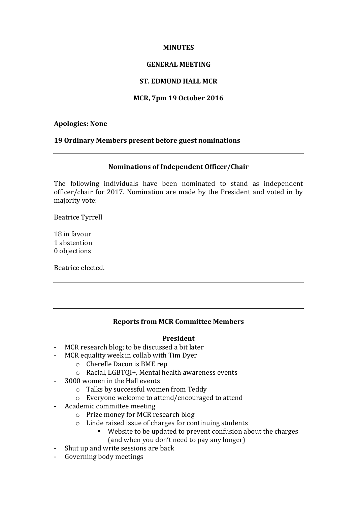### **MINUTES**

## **GENERAL MEETING**

# **ST. EDMUND HALL MCR**

# **MCR, 7pm 19 October 2016**

## **Apologies: None**

## **19 Ordinary Members present before guest nominations**

### **Nominations of Independent Officer/Chair**

The following individuals have been nominated to stand as independent officer/chair for 2017. Nomination are made by the President and voted in by majority vote:

Beatrice Tyrrell

18 in favour 1 abstention 0 objections

Beatrice elected.

# **Reports from MCR Committee Members**

### **President**

- MCR research blog; to be discussed a bit later
- MCR equality week in collab with Tim Dyer
	- $\circ$  Cherelle Dacon is BME rep
	- $\circ$  Racial, LGBTOI+, Mental health awareness events
- 3000 women in the Hall events
	- o Talks by successful women from Teddy
	- o Everyone welcome to attend/encouraged to attend
- Academic committee meeting
	- $\circ$  Prize money for MCR research blog
	- $\circ$  Linde raised issue of charges for continuing students
		- Website to be updated to prevent confusion about the charges (and when you don't need to pay any longer)
- Shut up and write sessions are back
- Governing body meetings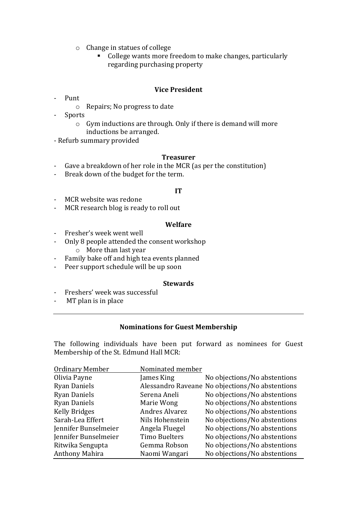- $\circ$  Change in statues of college
	- College wants more freedom to make changes, particularly regarding purchasing property

### **Vice President**

- Punt
	- $\circ$  Repairs; No progress to date
- Sports
	- $\circ$  Gym inductions are through. Only if there is demand will more inductions be arranged.
- Refurb summary provided

#### **Treasurer**

- Gave a breakdown of her role in the MCR (as per the constitution)
- Break down of the budget for the term.

### **IT**

- MCR website was redone
- MCR research blog is ready to roll out

#### **Welfare**

- Fresher's week went well
- Only 8 people attended the consent workshop  $\circ$  More than last year
- Family bake off and high tea events planned
- Peer support schedule will be up soon

#### **Stewards**

- Freshers' week was successful
- MT plan is in place

#### **Nominations for Guest Membership**

The following individuals have been put forward as nominees for Guest Membership of the St. Edmund Hall MCR:

| <b>Ordinary Member</b> | Nominated member      |                                                 |
|------------------------|-----------------------|-------------------------------------------------|
| Olivia Payne           | James King            | No objections/No abstentions                    |
| <b>Ryan Daniels</b>    |                       | Alessandro Raveane No objections/No abstentions |
| <b>Ryan Daniels</b>    | Serena Aneli          | No objections/No abstentions                    |
| <b>Ryan Daniels</b>    | Marie Wong            | No objections/No abstentions                    |
| <b>Kelly Bridges</b>   | <b>Andres Alvarez</b> | No objections/No abstentions                    |
| Sarah-Lea Effert       | Nils Hohenstein       | No objections/No abstentions                    |
| Jennifer Bunselmeier   | Angela Fluegel        | No objections/No abstentions                    |
| Jennifer Bunselmeier   | <b>Timo Buelters</b>  | No objections/No abstentions                    |
| Ritwika Sengupta       | Gemma Robson          | No objections/No abstentions                    |
| Anthony Mahira         | Naomi Wangari         | No objections/No abstentions                    |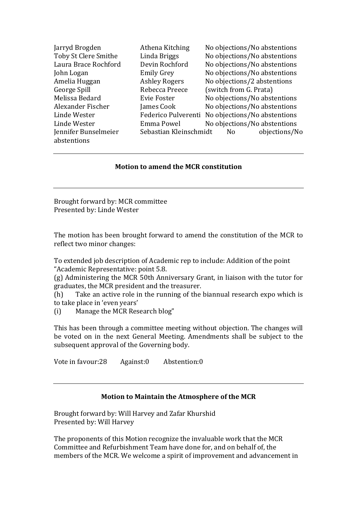| Jarryd Brogden       | Athena Kitching        | No objections/No abstentions                     |
|----------------------|------------------------|--------------------------------------------------|
| Toby St Clere Smithe | Linda Briggs           | No objections/No abstentions                     |
| Laura Brace Rochford | Devin Rochford         | No objections/No abstentions                     |
| John Logan           | <b>Emily Grey</b>      | No objections/No abstentions                     |
| Amelia Huggan        | <b>Ashley Rogers</b>   | No objections/2 abstentions                      |
| George Spill         | Rebecca Preece         | (switch from G. Prata)                           |
| Melissa Bedard       | Evie Foster            | No objections/No abstentions                     |
| Alexander Fischer    | James Cook             | No objections/No abstentions                     |
| Linde Wester         |                        | Federico Pulverenti No objections/No abstentions |
| Linde Wester         | Emma Powel             | No objections/No abstentions                     |
| Jennifer Bunselmeier | Sebastian Kleinschmidt | objections/No<br>No                              |
| abstentions          |                        |                                                  |

### **Motion to amend the MCR constitution**

Brought forward by: MCR committee Presented by: Linde Wester

The motion has been brought forward to amend the constitution of the MCR to reflect two minor changes:

To extended job description of Academic rep to include: Addition of the point "Academic Representative: point 5.8.

 $(g)$  Administering the MCR 50th Anniversary Grant, in liaison with the tutor for graduates, the MCR president and the treasurer.

(h) Take an active role in the running of the biannual research expo which is to take place in 'even years'

(i) Manage the MCR Research blog"

This has been through a committee meeting without objection. The changes will be voted on in the next General Meeting. Amendments shall be subject to the subsequent approval of the Governing body.

Vote in favour:28 Against:0 Abstention:0

### **Motion to Maintain the Atmosphere of the MCR**

Brought forward by: Will Harvey and Zafar Khurshid Presented by: Will Harvey

The proponents of this Motion recognize the invaluable work that the MCR Committee and Refurbishment Team have done for, and on behalf of, the members of the MCR. We welcome a spirit of improvement and advancement in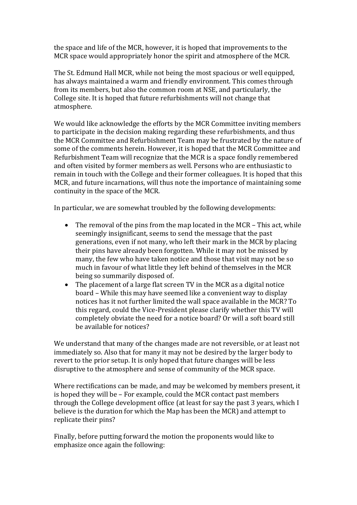the space and life of the MCR, however, it is hoped that improvements to the MCR space would appropriately honor the spirit and atmosphere of the MCR.

The St. Edmund Hall MCR, while not being the most spacious or well equipped, has always maintained a warm and friendly environment. This comes through from its members, but also the common room at NSE, and particularly, the College site. It is hoped that future refurbishments will not change that atmosphere.

We would like acknowledge the efforts by the MCR Committee inviting members to participate in the decision making regarding these refurbishments, and thus the MCR Committee and Refurbishment Team may be frustrated by the nature of some of the comments herein. However, it is hoped that the MCR Committee and Refurbishment Team will recognize that the MCR is a space fondly remembered and often visited by former members as well. Persons who are enthusiastic to remain in touch with the College and their former colleagues. It is hoped that this MCR, and future incarnations, will thus note the importance of maintaining some continuity in the space of the MCR.

In particular, we are somewhat troubled by the following developments:

- The removal of the pins from the map located in the MCR This act, while seemingly insignificant, seems to send the message that the past generations, even if not many, who left their mark in the MCR by placing their pins have already been forgotten. While it may not be missed by many, the few who have taken notice and those that visit may not be so much in favour of what little they left behind of themselves in the MCR being so summarily disposed of.
- The placement of a large flat screen TV in the MCR as a digital notice board – While this may have seemed like a convenient way to display notices has it not further limited the wall space available in the MCR? To this regard, could the Vice-President please clarify whether this TV will completely obviate the need for a notice board? Or will a soft board still be available for notices?

We understand that many of the changes made are not reversible, or at least not immediately so. Also that for many it may not be desired by the larger body to revert to the prior setup. It is only hoped that future changes will be less disruptive to the atmosphere and sense of community of the MCR space.

Where rectifications can be made, and may be welcomed by members present, it is hoped they will be - For example, could the MCR contact past members through the College development office (at least for say the past 3 years, which I believe is the duration for which the Map has been the MCR) and attempt to replicate their pins?

Finally, before putting forward the motion the proponents would like to emphasize once again the following: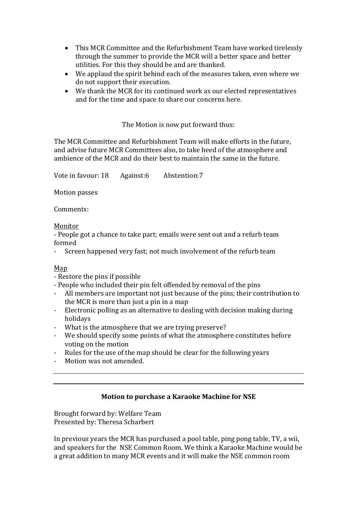- This MCR Committee and the Refurbishment Team have worked tirelessly through the summer to provide the MCR will a better space and better utilities. For this they should be and are thanked.
- We applaud the spirit behind each of the measures taken, even where we do not support their execution.
- We thank the MCR for its continued work as our elected representatives and for the time and space to share our concerns here.

The Motion is now put forward thus:

The MCR Committee and Refurbishment Team will make efforts in the future, and advise future MCR Committees also, to take heed of the atmosphere and ambience of the MCR and do their best to maintain the same in the future.

Vote in favour: 18 Against:6 Abstention:7

Motion passes

Comments:

Monitor

- People got a chance to take part; emails were sent out and a refurb team formed

- Screen happened very fast; not much involvement of the refurb team

### Map

- Restore the pins if possible

- People who included their pin felt offended by removal of the pins

- All members are important not just because of the pins; their contribution to the MCR is more than just a pin in a map
- Electronic polling as an alternative to dealing with decision making during holidays
- What is the atmosphere that we are trying preserve?
- We should specify some points of what the atmosphere constitutes before voting on the motion
- Rules for the use of the map should be clear for the following vears
- Motion was not amended.

# **Motion to purchase a Karaoke Machine for NSE**

Brought forward by: Welfare Team Presented by: Theresa Scharbert

In previous years the MCR has purchased a pool table, ping pong table, TV, a wii, and speakers for the NSE Common Room. We think a Karaoke Machine would be a great addition to many MCR events and it will make the NSE common room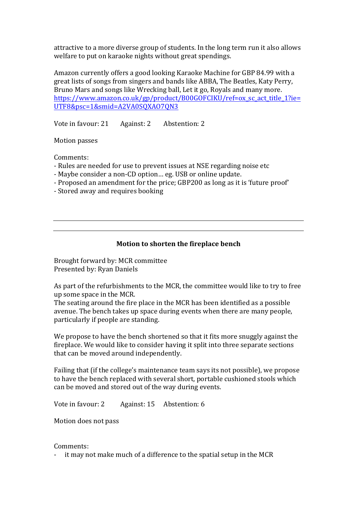attractive to a more diverse group of students. In the long term run it also allows welfare to put on karaoke nights without great spendings.

Amazon currently offers a good looking Karaoke Machine for GBP 84.99 with a great lists of songs from singers and bands like ABBA, The Beatles, Katy Perry, Bruno Mars and songs like Wrecking ball, Let it go, Royals and many more. https://www.amazon.co.uk/gp/product/B00GOFCIKU/ref=ox sc act title 1?ie= UTF8&psc=1&smid=A2VA0SQXAO7QN3

Vote in favour: 21 Against: 2 Abstention: 2

**Motion** passes

Comments:

- Rules are needed for use to prevent issues at NSE regarding noise etc
- Maybe consider a non-CD option... eg. USB or online update.
- Proposed an amendment for the price; GBP200 as long as it is 'future proof'
- Stored away and requires booking

## **Motion to shorten the fireplace bench**

Brought forward by: MCR committee Presented by: Ryan Daniels

As part of the refurbishments to the MCR, the committee would like to try to free up some space in the MCR.

The seating around the fire place in the MCR has been identified as a possible avenue. The bench takes up space during events when there are many people, particularly if people are standing.

We propose to have the bench shortened so that it fits more snuggly against the fireplace. We would like to consider having it split into three separate sections that can be moved around independently.

Failing that (if the college's maintenance team says its not possible), we propose to have the bench replaced with several short, portable cushioned stools which can be moved and stored out of the way during events.

Vote in favour: 2 Against: 15 Abstention: 6

Motion does not pass

Comments:

- it may not make much of a difference to the spatial setup in the MCR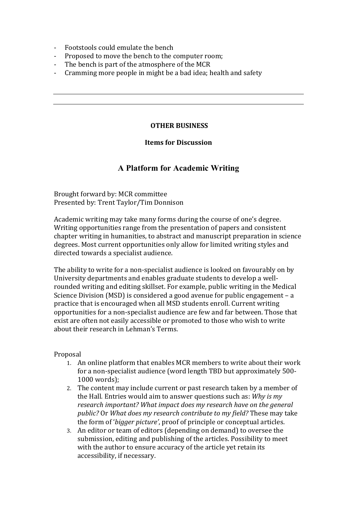- Footstools could emulate the bench
- Proposed to move the bench to the computer room;
- The bench is part of the atmosphere of the MCR
- Cramming more people in might be a bad idea; health and safety

## **OTHER BUSINESS**

## **Items for Discussion**

# **A Platform for Academic Writing**

Brought forward by: MCR committee Presented by: Trent Taylor/Tim Donnison

Academic writing may take many forms during the course of one's degree. Writing opportunities range from the presentation of papers and consistent chapter writing in humanities, to abstract and manuscript preparation in science degrees. Most current opportunities only allow for limited writing styles and directed towards a specialist audience.

The ability to write for a non-specialist audience is looked on favourably on by University departments and enables graduate students to develop a wellrounded writing and editing skillset. For example, public writing in the Medical Science Division (MSD) is considered a good avenue for public engagement  $- a$ practice that is encouraged when all MSD students enroll. Current writing opportunities for a non-specialist audience are few and far between. Those that exist are often not easily accessible or promoted to those who wish to write about their research in Lehman's Terms.

# Proposal

- 1. An online platform that enables MCR members to write about their work for a non-specialist audience (word length TBD but approximately 500-1000 words);
- 2. The content may include current or past research taken by a member of the Hall. Entries would aim to answer questions such as: *Why is my* research *important?* What *impact does my research have on the general public?* Or *What does my research contribute to my field?* These may take the form of '*bigger picture'*, proof of principle or conceptual articles.
- 3. An editor or team of editors (depending on demand) to oversee the submission, editing and publishing of the articles. Possibility to meet with the author to ensure accuracy of the article yet retain its accessibility, if necessary.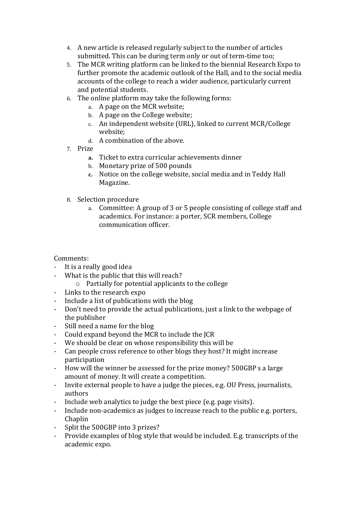- 4. A new article is released regularly subject to the number of articles submitted. This can be during term only or out of term-time too;
- 5. The MCR writing platform can be linked to the biennial Research Expo to further promote the academic outlook of the Hall, and to the social media accounts of the college to reach a wider audience, particularly current and potential students.
- 6. The online platform may take the following forms:
	- a. A page on the MCR website;
	- b. A page on the College website;
	- c. An independent website (URL), linked to current MCR/College website;
	- d. A combination of the above.
- 7. Prize
	- **a.** Ticket to extra curricular achievements dinner
	- b. Monetary prize of 500 pounds
	- **c.** Notice on the college website, social media and in Teddy Hall Magazine.
- 8. Selection procedure
	- a. Committee: A group of 3 or 5 people consisting of college staff and academics. For instance: a porter, SCR members, College communication officer.

# Comments:

- It is a really good idea
- What is the public that this will reach?
	- $\circ$  Partially for potential applicants to the college
- Links to the research expo
- Include a list of publications with the blog
- Don't need to provide the actual publications, just a link to the webpage of the publisher
- Still need a name for the blog
- Could expand beyond the MCR to include the ICR
- We should be clear on whose responsibility this will be
- Can people cross reference to other blogs they host? It might increase participation
- How will the winner be assessed for the prize money? 500GBP s a large amount of money. It will create a competition.
- Invite external people to have a judge the pieces, e.g. OU Press, journalists, authors
- Include web analytics to judge the best piece (e.g. page visits).
- Include non-academics as judges to increase reach to the public e.g. porters, Chaplin
- Split the 500GBP into 3 prizes?
- Provide examples of blog style that would be included. E.g. transcripts of the academic expo.